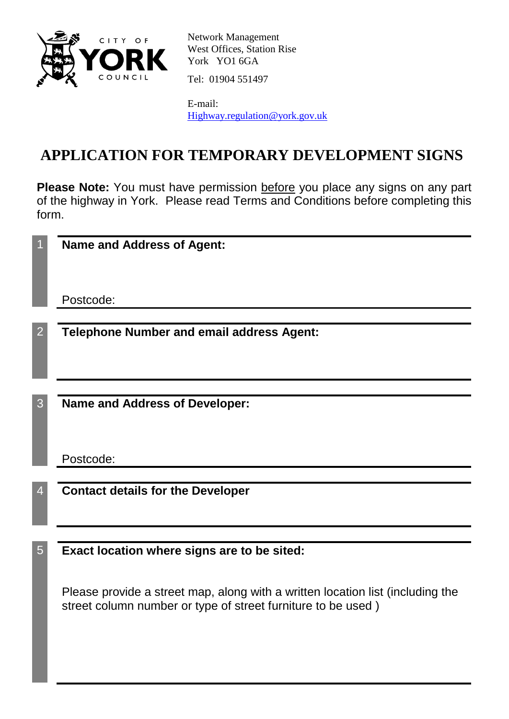

Network Management West Offices, Station Rise York YO1 6GA

Tel: 01904 551497

E-mail: [Highway.regulation@york.gov.uk](mailto:Highway.regulation@york.gov.uk)

## **APPLICATION FOR TEMPORARY DEVELOPMENT SIGNS**

Please Note: You must have permission before you place any signs on any part of the highway in York. Please read Terms and Conditions before completing this form.

|                | <b>Name and Address of Agent:</b>                                                                                                              |
|----------------|------------------------------------------------------------------------------------------------------------------------------------------------|
|                | Postcode:                                                                                                                                      |
| $\overline{2}$ | <b>Telephone Number and email address Agent:</b>                                                                                               |
|                |                                                                                                                                                |
| 3              | <b>Name and Address of Developer:</b>                                                                                                          |
|                | Postcode:                                                                                                                                      |
|                | <b>Contact details for the Developer</b>                                                                                                       |
|                |                                                                                                                                                |
| 5              | Exact location where signs are to be sited:                                                                                                    |
|                | Please provide a street map, along with a written location list (including the<br>street column number or type of street furniture to be used) |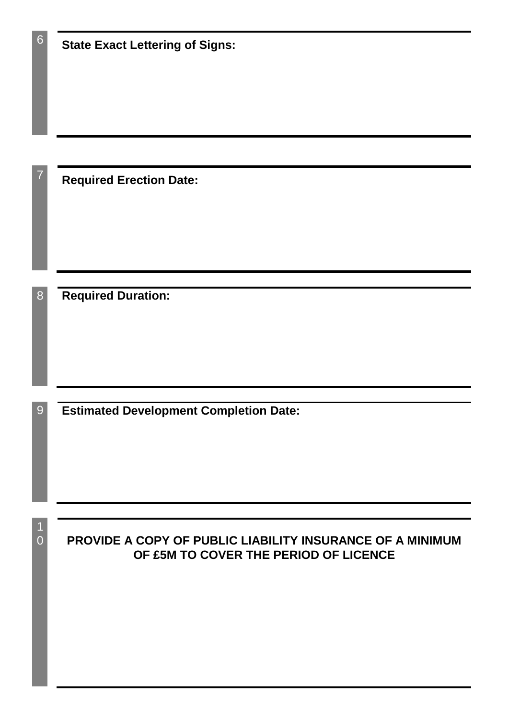| 6              | <b>State Exact Lettering of Signs:</b>                                                             |
|----------------|----------------------------------------------------------------------------------------------------|
|                |                                                                                                    |
| $\overline{7}$ | <b>Required Erection Date:</b>                                                                     |
| 8              | <b>Required Duration:</b>                                                                          |
|                |                                                                                                    |
| 9 <sup>°</sup> | <b>Estimated Development Completion Date:</b>                                                      |
|                |                                                                                                    |
|                |                                                                                                    |
| $\overline{0}$ | PROVIDE A COPY OF PUBLIC LIABILITY INSURANCE OF A MINIMUM<br>OF £5M TO COVER THE PERIOD OF LICENCE |